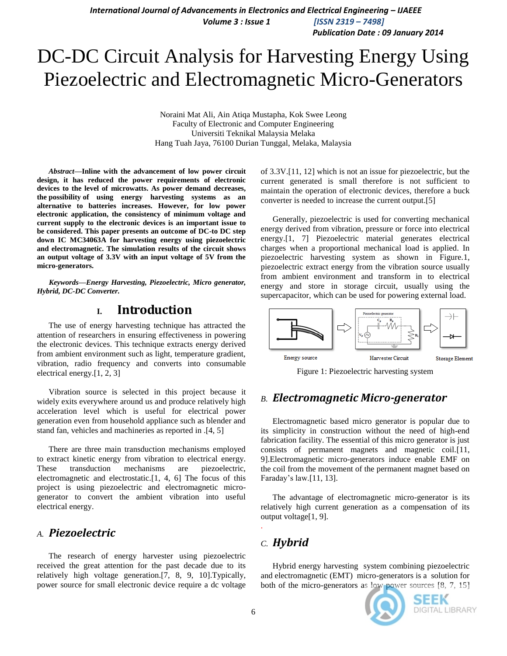*Publication Date : 09 January 2014*

# DC-DC Circuit Analysis for Harvesting Energy Using Piezoelectric and Electromagnetic Micro-Generators

Noraini Mat Ali, Ain Atiqa Mustapha, Kok Swee Leong Faculty of Electronic and Computer Engineering Universiti Teknikal Malaysia Melaka Hang Tuah Jaya, 76100 Durian Tunggal, Melaka, Malaysia

*Abstract***—Inline with the advancement of low power circuit design, it has reduced the power requirements of electronic devices to the level of microwatts. As power demand decreases, the possibility of using energy harvesting systems as an alternative to batteries increases. However, for low power electronic application, the consistency of minimum voltage and current supply to the electronic devices is an important issue to be considered. This paper presents an outcome of DC-to DC step down IC MC34063A for harvesting energy using piezoelectric and electromagnetic. The simulation results of the circuit shows an output voltage of 3.3V with an input voltage of 5V from the micro-generators.**

*Keywords—Energy Harvesting, Piezoelectric, Micro generator, Hybrid, DC-DC Converter.* 

## **I. Introduction**

The use of energy harvesting technique has attracted the attention of researchers in ensuring effectiveness in powering the electronic devices. This technique extracts energy derived from ambient environment such as light, temperature gradient, vibration, radio frequency and converts into consumable electrical energy.[1, 2, 3]

Vibration source is selected in this project because it widely exits everywhere around us and produce relatively high acceleration level which is useful for electrical power generation even from household appliance such as blender and stand fan, vehicles and machineries as reported in .[4, 5]

There are three main transduction mechanisms employed to extract kinetic energy from vibration to electrical energy. These transduction mechanisms are piezoelectric, electromagnetic and electrostatic.[1, 4, 6] The focus of this project is using piezoelectric and electromagnetic microgenerator to convert the ambient vibration into useful electrical energy.

## *A. Piezoelectric*

The research of energy harvester using piezoelectric received the great attention for the past decade due to its relatively high voltage generation.[7, 8, 9, 10].Typically, power source for small electronic device require a dc voltage of 3.3V.[11, 12] which is not an issue for piezoelectric, but the current generated is small therefore is not sufficient to maintain the operation of electronic devices, therefore a buck converter is needed to increase the current output.[5]

Generally, piezoelectric is used for converting mechanical energy derived from vibration, pressure or force into electrical energy.[1, 7] Piezoelectric material generates electrical charges when a proportional mechanical load is applied. In piezoelectric harvesting system as shown in Figure.1, piezoelectric extract energy from the vibration source usually from ambient environment and transform in to electrical energy and store in storage circuit, usually using the supercapacitor, which can be used for powering external load.



Figure 1: Piezoelectric harvesting system

## *B. Electromagnetic Micro-generator*

Electromagnetic based micro generator is popular due to its simplicity in construction without the need of high-end fabrication facility. The essential of this micro generator is just consists of permanent magnets and magnetic coil.[11, 9].Electromagnetic micro-generators induce enable EMF on the coil from the movement of the permanent magnet based on Faraday's law.[11, 13].

The advantage of electromagnetic micro-generator is its relatively high current generation as a compensation of its output voltage[1, 9].

## *C. Hybrid*

Hybrid energy harvesting system combining piezoelectric and electromagnetic (EMT) micro-generators is a solution for both of the micro-generators as low power sources [8, 7, 15]



.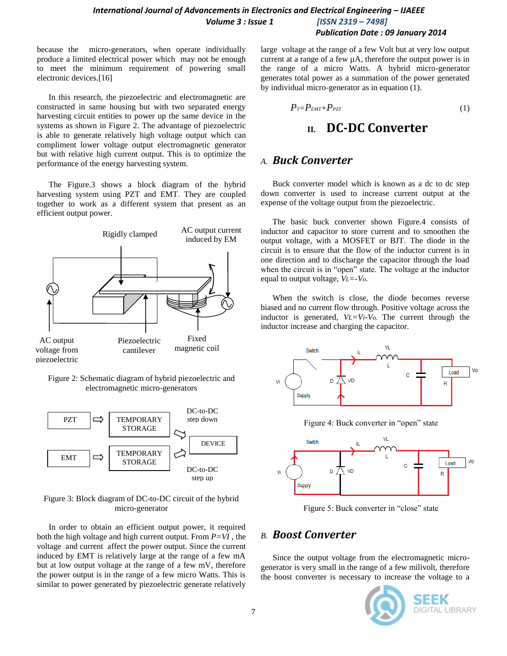*Publication Date : 09 January 2014*

because the micro-generators, when operate individually produce a limited electrical power which may not be enough to meet the minimum requirement of powering small electronic devices.[16]

In this research, the piezoelectric and electromagnetic are constructed in same housing but with two separated energy harvesting circuit entities to power up the same device in the systems as shown in Figure 2. The advantage of piezoelectric is able to generate relatively high voltage output which can compliment lower voltage output electromagnetic generator but with relative high current output. This is to optimize the performance of the energy harvesting system.

The Figure.3 shows a block diagram of the hybrid harvesting system using PZT and EMT. They are coupled together to work as a different system that present as an efficient output power.



Figure 2: Schematic diagram of hybrid piezoelectric and electromagnetic micro-generators



Figure 3: Block diagram of DC-to-DC circuit of the hybrid micro-generator

In order to obtain an efficient output power, it required both the high voltage and high current output. From  $P=VI$ , the voltage and current affect the power output. Since the current induced by EMT is relatively large at the range of a few mA but at low output voltage at the range of a few mV, therefore the power output is in the range of a few micro Watts. This is similar to power generated by piezoelectric generate relatively

large voltage at the range of a few Volt but at very low output current at a range of a few µA, therefore the output power is in the range of a micro Watts. A hybrid micro-generator generates total power as a summation of the power generated by individual micro-generator as in equation (1).

$$
P_T = P_{EMT} + P_{PZT} \tag{1}
$$

## **II. DC-DC Converter**

## *A. Buck Converter*

Buck converter model which is known as a dc to dc step down converter is used to increase current output at the expense of the voltage output from the piezoelectric.

The basic buck converter shown Figure.4 consists of inductor and capacitor to store current and to smoothen the output voltage, with a MOSFET or BJT. The diode in the circuit is to ensure that the flow of the inductor current is in one direction and to discharge the capacitor through the load when the circuit is in "open" state. The voltage at the inductor equal to output voltage, *VL=-Vo.*

When the switch is close, the diode becomes reverse biased and no current flow through. Positive voltage across the inductor is generated, *VL=Vi-Vo.* The current through the inductor increase and charging the capacitor.



Figure 4: Buck converter in "open" state



Figure 5: Buck converter in "close" state

## *B. Boost Converter*

Since the output voltage from the electromagnetic microgenerator is very small in the range of a few milivolt, therefore the boost converter is necessary to increase the voltage to a

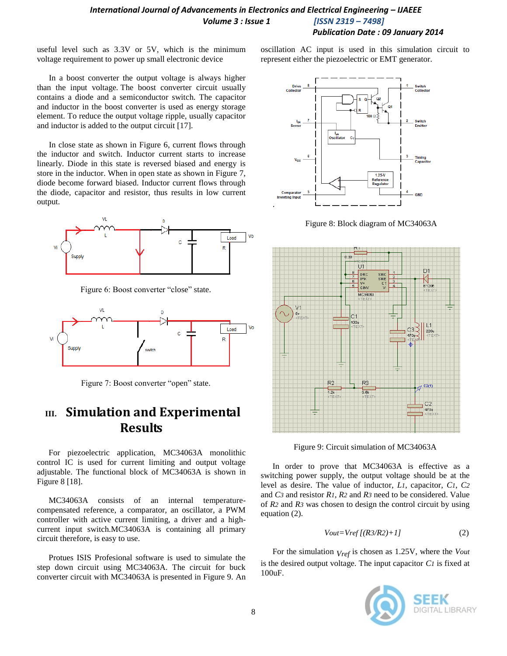useful level such as 3.3V or 5V, which is the minimum voltage requirement to power up small electronic device

In a boost converter the output voltage is always higher than the input voltage*.* The boost converter circuit usually contains a diode and a semiconductor switch. The capacitor and inductor in the boost converter is used as energy storage element. To reduce the output voltage ripple, usually capacitor and inductor is added to the output circuit [17].

In close state as shown in Figure 6, current flows through the inductor and switch. Inductor current starts to increase linearly. Diode in this state is reversed biased and energy is store in the inductor. When in open state as shown in Figure 7, diode become forward biased. Inductor current flows through the diode, capacitor and resistor, thus results in low current output.



Figure 6: Boost converter "close" state.



Figure 7: Boost converter "open" state.

# **III. Simulation and Experimental Results**

For piezoelectric application, MC34063A monolithic control IC is used for current limiting and output voltage adjustable. The functional block of MC34063A is shown in Figure 8 [18].

MC34063A consists of an internal temperaturecompensated reference, a comparator, an oscillator, a PWM controller with active current limiting, a driver and a highcurrent input switch.MC34063A is containing all primary circuit therefore, is easy to use.

Protues ISIS Profesional software is used to simulate the step down circuit using MC34063A. The circuit for buck converter circuit with MC34063A is presented in Figure 9. An oscillation AC input is used in this simulation circuit to represent either the piezoelectric or EMT generator.



Figure 8: Block diagram of MC34063A



Figure 9: Circuit simulation of MC34063A

In order to prove that MC34063A is effective as a switching power supply, the output voltage should be at the level as desire. The value of inductor, *L1*, capacitor, *C1*, *C2* and *C3* and resistor *R1*, *R2* and *R3* need to be considered. Value of *R2* and *R3* was chosen to design the control circuit by using equation (2).

$$
Vout=Vref[(R3/R2)+1]
$$
 (2)

For the simulation *Vref* is chosen as 1.25V, where the *Vout* is the desired output voltage. The input capacitor *C1* is fixed at 100uF.